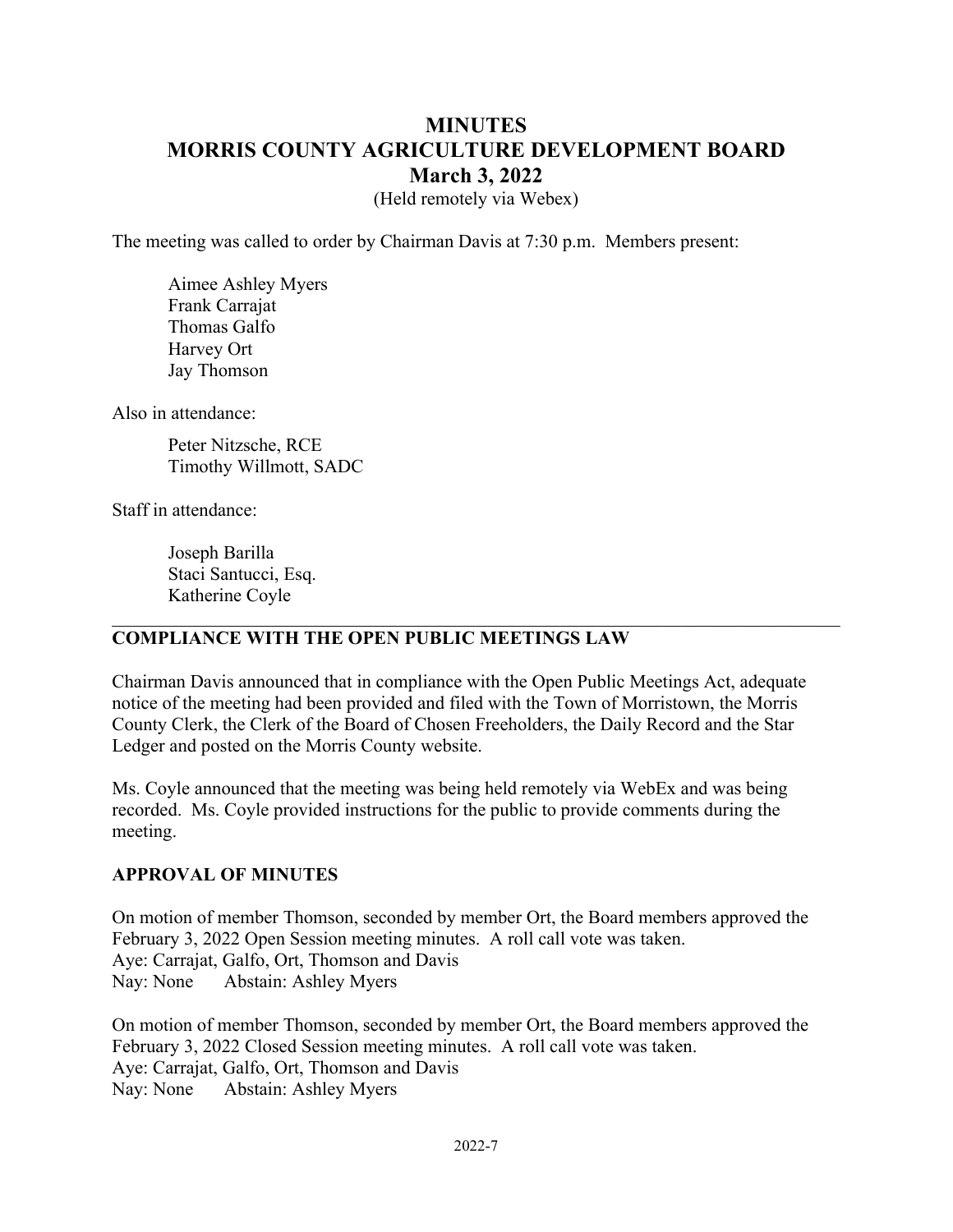# **MINUTES MORRIS COUNTY AGRICULTURE DEVELOPMENT BOARD March 3, 2022**

(Held remotely via Webex)

The meeting was called to order by Chairman Davis at 7:30 p.m. Members present:

Aimee Ashley Myers Frank Carrajat Thomas Galfo Harvey Ort Jay Thomson

Also in attendance:

Peter Nitzsche, RCE Timothy Willmott, SADC

Staff in attendance:

Joseph Barilla Staci Santucci, Esq. Katherine Coyle

#### **COMPLIANCE WITH THE OPEN PUBLIC MEETINGS LAW**

Chairman Davis announced that in compliance with the Open Public Meetings Act, adequate notice of the meeting had been provided and filed with the Town of Morristown, the Morris County Clerk, the Clerk of the Board of Chosen Freeholders, the Daily Record and the Star Ledger and posted on the Morris County website.

Ms. Coyle announced that the meeting was being held remotely via WebEx and was being recorded. Ms. Coyle provided instructions for the public to provide comments during the meeting.

#### **APPROVAL OF MINUTES**

On motion of member Thomson, seconded by member Ort, the Board members approved the February 3, 2022 Open Session meeting minutes. A roll call vote was taken. Aye: Carrajat, Galfo, Ort, Thomson and Davis Nay: None Abstain: Ashley Myers

On motion of member Thomson, seconded by member Ort, the Board members approved the February 3, 2022 Closed Session meeting minutes. A roll call vote was taken. Aye: Carrajat, Galfo, Ort, Thomson and Davis Nay: None Abstain: Ashley Myers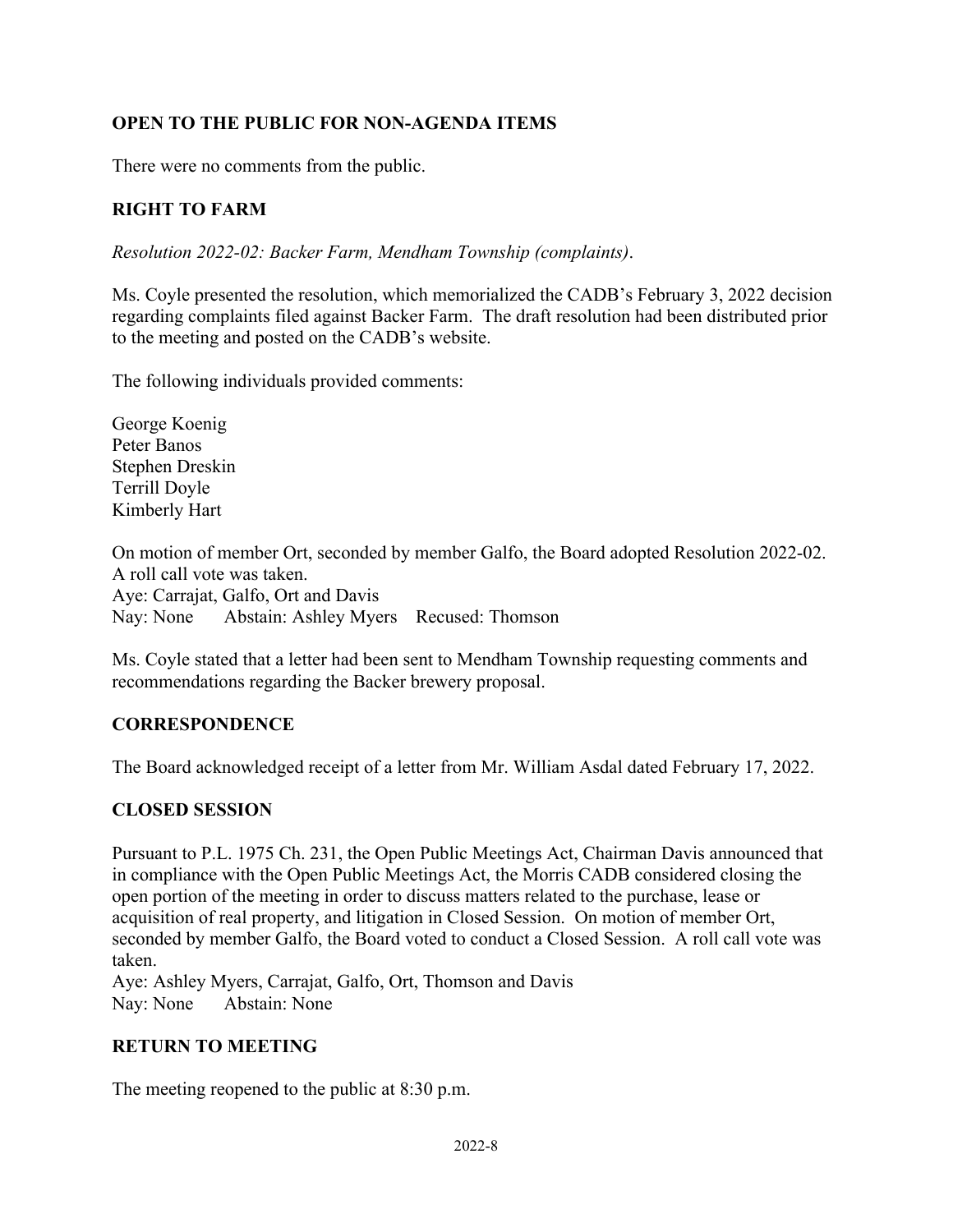## **OPEN TO THE PUBLIC FOR NON-AGENDA ITEMS**

There were no comments from the public.

# **RIGHT TO FARM**

*Resolution 2022-02: Backer Farm, Mendham Township (complaints)*.

Ms. Coyle presented the resolution, which memorialized the CADB's February 3, 2022 decision regarding complaints filed against Backer Farm. The draft resolution had been distributed prior to the meeting and posted on the CADB's website.

The following individuals provided comments:

George Koenig Peter Banos Stephen Dreskin Terrill Doyle Kimberly Hart

On motion of member Ort, seconded by member Galfo, the Board adopted Resolution 2022-02. A roll call vote was taken. Aye: Carrajat, Galfo, Ort and Davis Nay: None Abstain: Ashley Myers Recused: Thomson

Ms. Coyle stated that a letter had been sent to Mendham Township requesting comments and recommendations regarding the Backer brewery proposal.

### **CORRESPONDENCE**

The Board acknowledged receipt of a letter from Mr. William Asdal dated February 17, 2022.

### **CLOSED SESSION**

Pursuant to P.L. 1975 Ch. 231, the Open Public Meetings Act, Chairman Davis announced that in compliance with the Open Public Meetings Act, the Morris CADB considered closing the open portion of the meeting in order to discuss matters related to the purchase, lease or acquisition of real property, and litigation in Closed Session. On motion of member Ort, seconded by member Galfo, the Board voted to conduct a Closed Session. A roll call vote was taken.

Aye: Ashley Myers, Carrajat, Galfo, Ort, Thomson and Davis Nay: None Abstain: None

### **RETURN TO MEETING**

The meeting reopened to the public at 8:30 p.m.